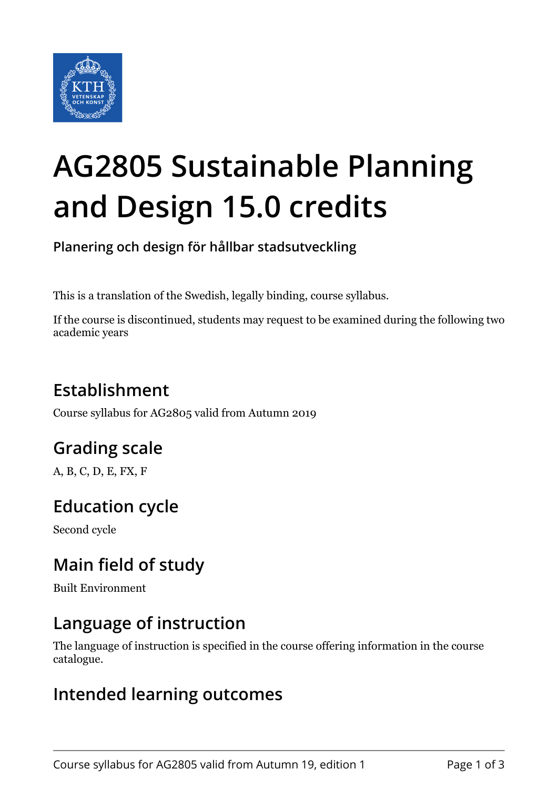

# **AG2805 Sustainable Planning and Design 15.0 credits**

**Planering och design för hållbar stadsutveckling**

This is a translation of the Swedish, legally binding, course syllabus.

If the course is discontinued, students may request to be examined during the following two academic years

## **Establishment**

Course syllabus for AG2805 valid from Autumn 2019

## **Grading scale**

A, B, C, D, E, FX, F

## **Education cycle**

Second cycle

## **Main field of study**

Built Environment

#### **Language of instruction**

The language of instruction is specified in the course offering information in the course catalogue.

#### **Intended learning outcomes**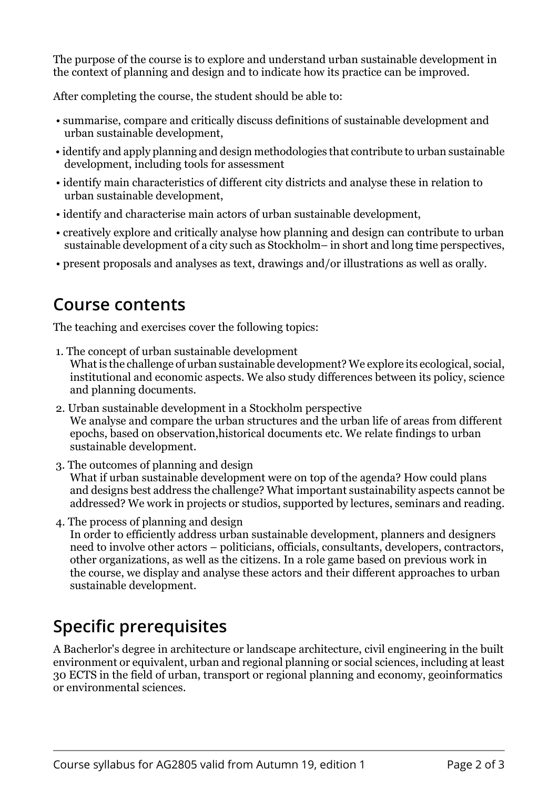The purpose of the course is to explore and understand urban sustainable development in the context of planning and design and to indicate how its practice can be improved.

After completing the course, the student should be able to:

- summarise, compare and critically discuss definitions of sustainable development and urban sustainable development,
- identify and apply planning and design methodologies that contribute to urban sustainable development, including tools for assessment
- identify main characteristics of different city districts and analyse these in relation to urban sustainable development,
- identify and characterise main actors of urban sustainable development,
- creatively explore and critically analyse how planning and design can contribute to urban sustainable development of a city such as Stockholm– in short and long time perspectives,
- present proposals and analyses as text, drawings and/or illustrations as well as orally.

#### **Course contents**

The teaching and exercises cover the following topics:

- 1. The concept of urban sustainable development What is the challenge of urban sustainable development? We explore its ecological, social, institutional and economic aspects. We also study differences between its policy, science and planning documents.
- 2. Urban sustainable development in a Stockholm perspective We analyse and compare the urban structures and the urban life of areas from different epochs, based on observation,historical documents etc. We relate findings to urban sustainable development.
- 3. The outcomes of planning and design What if urban sustainable development were on top of the agenda? How could plans and designs best address the challenge? What important sustainability aspects cannot be addressed? We work in projects or studios, supported by lectures, seminars and reading.
- 4. The process of planning and design In order to efficiently address urban sustainable development, planners and designers need to involve other actors – politicians, officials, consultants, developers, contractors, other organizations, as well as the citizens. In a role game based on previous work in the course, we display and analyse these actors and their different approaches to urban sustainable development.

## **Specific prerequisites**

A Bacherlor's degree in architecture or landscape architecture, civil engineering in the built environment or equivalent, urban and regional planning or social sciences, including at least 30 ECTS in the field of urban, transport or regional planning and economy, geoinformatics or environmental sciences.